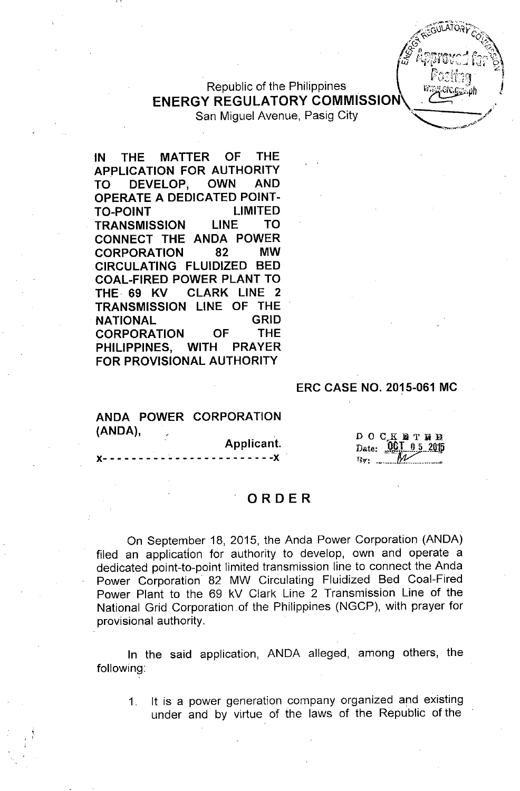# Republic of the Philippines **ENERGY REGULATORY COMMISSION**

San Miguel Avenue, Pasig City

**IN THE MATTER OF THE APPLICATION FOR AUTHORITY TO DEVELOP, OWN AND OPERATE A DEDICATED POINT-TO-POINT LIMITED TRANSMISSION LINE TO CONNECT THE ANDA POWER CORPORATION 82 MW CIRCULATING FLUIDIZED BED COAL-FIRED POWER PLANT TO THE. 69 KV CLARK LINE 2 TRANSMISSION LINE OF THE NATIONAL GRID CORPORATION OF THE PHILIPPINES, WITH PRAYER FOR PROVISIONAL AUTHORITY**

#### **ERC CASE NO. 2015-061 MC**

## ANDA POWER CORPORATION (ANDA).

Applicant.

 $- - - -X$ 

DOCKETHE Date: 001 0 5 2015

#### **ORDER**

On September 18, 2015, the Anda Power Corporation (ANDA) filed an application for authority to develop, own and operate a dedicated point-to-point limited transmission line to connect the Anda Power Corporation 82 MW Circulating Fluidized Bed Coal-Fired Power Plant to the 69 kV Clark Line 2 Transmission Line of the National Grid Corporation of the Philippines (NGCP), with prayer for provisional authority.

In the said application, ANDA alleged, among others, the following:

1. It is a power generation company organized and existing under and by virtue of the laws of the Republic of the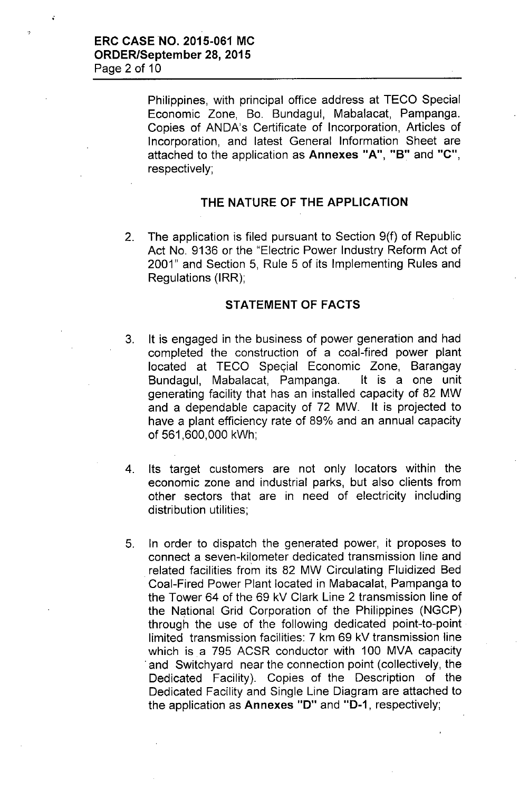$\ddot{\cdot}$ 

Philippines, with principal office address at TECD Special Economic Zone, Bo. Bundagul, Mabalacat, Pampanga. Copies of ANDA's Certificate of Incorporation, Articles of Incorporation, and latest General Information Sheet are attached to the application as **Annexes "A", "S"** and **"C",** respectively;

## **THE NATURE OF THE APPLICATION**

2. The application is filed pursuant to Section 9(f) of Republic Act No. 9136 or the "Electric Power Industry Reform Act of 2001" and Section 5, Rule 5 of its Implementing Rules and Regulations (IRR);

#### **STATEMENT OF FACTS**

- 3. It is engaged in the business of power generation and had completed the construction of a coal-fired power plant located at TECO Special Economic Zone, Barangay Bundagul, Mabalacat, Pampanga. It is a one unit generating facility that has an installed capacity of 82 MW and a dependable capacity of 72 MW. It is projected to have a plant efficiency rate of 89% and an annual capacity of 561,600,000 kWh;
- 4. Its target customers are not only locators within the economic zone and industrial parks, but also clients from other sectors that are in need of electricity including distribution utilities;
- 5. In order to dispatch the generated power, it proposes to connect a seven-kilometer dedicated transmission line and .related facilities from its 82 MW Circulating Fluidized Bed Coal-Fired Power Plant located in Mabacalat, Pampanga to the Tower 64 of the 69 kV Clark Line 2 transmission line of the National Grid Corporation of the Philippines (NGCP) through the use of the following dedicated point-to-point limited transmission facilities: 7 km 69 kV transmission line which is a 795 ACSR conductor with 100 MVA capacity .and Switchyard near the connection point (collectively, the Dedicated Facility). Copies of the Description of the Dedicated Facility and Single Line Diagram are attached to the application as **Annexes "0"** and **"0-1,** respectively;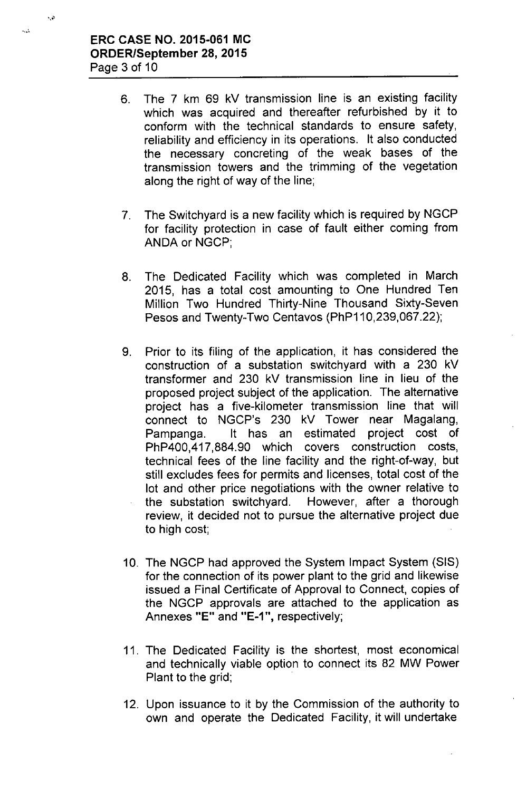$\mathbf{r}$ 

 $\mathbf{v}_i$ 

- 6. The 7 km 69 kV transmission line is an existing facility which was acquired and thereafter refurbished by it to conform with the technical standards to ensure safety, reliability and efficiency in its operations. It also conducted the necessary concreting of the weak bases of the transmission towers and the trimming of the vegetation along the right of way of the line;
- 7. The Switchyard is a new facility which is required by NGCP for facility protection in case of fault either coming from ANDA or NGCP;
- 8. The Dedicated Facility which was completed in March 2015, has a total cost amounting to One Hundred Ten Million Two Hundred Thirty-Nine Thousand Sixty-Seven Pesos and Twenty-Two Centavos (PhP110,239,067.22);
- 9. Prior to its filing of the application, it has considered the construction of a substation switchyard with a 230 kV transformer and 230 kV transmission line in lieu of the proposed project subject of the application. The alternative project has a five-kilometer transmission line that will connect to NGCP's 230 kV Tower near Magalang, Pampanga. It has an estimated project cost of PhP400,417,884.90 which covers construction costs, technical fees of the line facility and the right-of-way, but still excludes fees for permits and licenses, total cost of the lot and other price negotiations with the owner relative to the substation switchyard. However, after a thorough review, it decided not to pursue the alternative project due to high cost;
- 10. The NGCP had approved the System Impact System (SIS) for the connection of its power plant to the grid and likewise issued a Final Certificate of Approval to Connect, copies of the NGCP approvals are attached to the application as Annexes **"E"** and **"E-1",** respectively;
- 11. The Dedicated Facility is the shortest, most economical and technically viable option to connect its 82 MW Power Plant to the grid;
- 12. Upon issuance to it by the Commission of the authority to own and operate the Dedicated Facility, it will undertake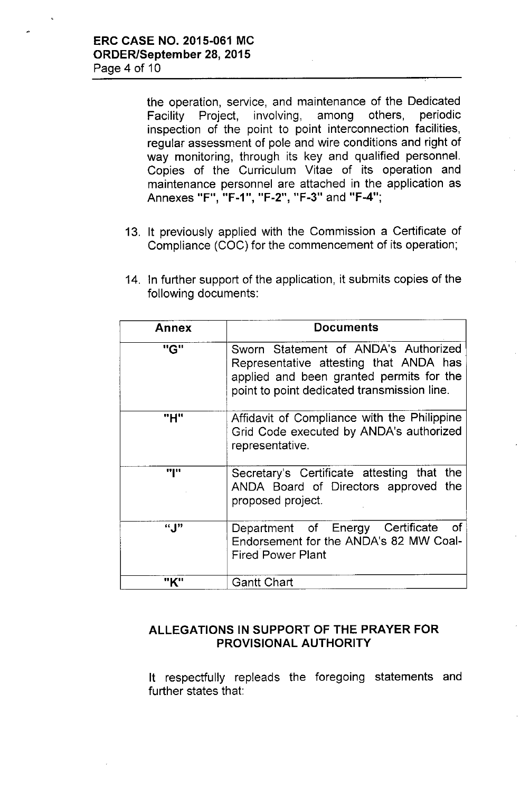the operation, service, and maintenance of the Dedicated Facility Project, involving, among others, periodic inspection of the point to point interconnection facilities, regular assessment of pole and wire conditions and right of way monitoring, through its key and qualified personnel. Copies of the Curriculum Vitae of its operation and maintenance personnel are attached in the application as Annexes "F", "F-1", "F-2", "F-3" and "F-4";

- 13. It previously applied with the Commission a Certificate of Compliance (COC) for the commencement of its operation;
- 14. In further support of the application, it submits copies of the following documents:

| Annex | <b>Documents</b>                                                                                                                                                          |
|-------|---------------------------------------------------------------------------------------------------------------------------------------------------------------------------|
| "G"   | Sworn Statement of ANDA's Authorized<br>Representative attesting that ANDA has<br>applied and been granted permits for the<br>point to point dedicated transmission line. |
| "H"   | Affidavit of Compliance with the Philippine<br>Grid Code executed by ANDA's authorized<br>representative.                                                                 |
| "I"   | Secretary's Certificate attesting that the<br>ANDA Board of Directors approved the<br>proposed project.                                                                   |
| " ["  | Department of Energy Certificate<br>of.<br>Endorsement for the ANDA's 82 MW Coal-<br><b>Fired Power Plant</b>                                                             |
|       | <b>Gantt Chart</b>                                                                                                                                                        |

## ALLEGATIONS IN SUPPORT OF THE PRAYER FOR PROVISIONAL AUTHORITY

It respectfully repleads the foregoing statements and further states that: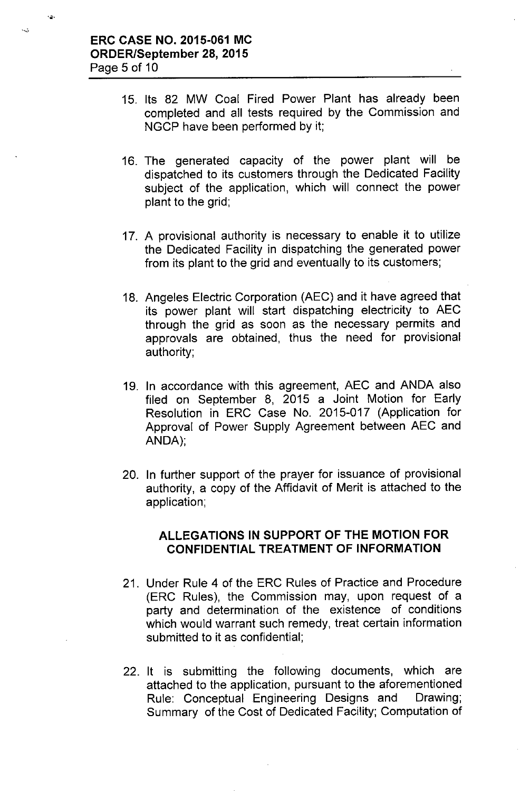$\overline{1}$ 

 $\sim$ 

- 15. Its 82 MW Coal Fired Power Plant has already been completed and all tests required by the Commission and NGCP have been performed by it;
- 16. The generated capacity of the power plant will be dispatched to its customers through the Dedicated Facility subject of the application, which will connect the power plant to the grid;
- 17. A provisional authority is necessary to enable it to utilize the Dedicated Facility in dispatching the generated power from its plant to the grid and eventually to its customers;
- 18. Angeles Electric Corporation (AEC) and it have agreed that its power plant will start dispatching electricity to AEC through the grid as soon as the necessary permits and approvals are obtained, thus the need for provisional authority;
- 19. In accordance with this agreement, AEC and ANDA also filed on September 8, 2015 a Joint Motion for Early Resolution in ERC Case No. 2015-017 (Application for Approval of Power Supply Agreement between AEC and ANDA);
- 20. In further support of the prayer for issuance of provisional authority, a copy of the Affidavit of Merit is attached to the application;

## ALLEGATIONS IN SUPPORT OF THE MOTION FOR CONFIDENTIAL TREATMENT OF INFORMATION

- 21. Under Rule 4 of the ERC Rules of Practice and Procedure (ERC Rules), the Commission may, upon request of a party and determination of the existence of conditions which would warrant such remedy, treat certain information submitted to it as confidential;
- 22. It is submitting the following documents, which are attached to the application, pursuant to the aforementioned Rule: Conceptual Engineering Designs and Drawing; Summary of the Cost of Dedicated Facility; Computation of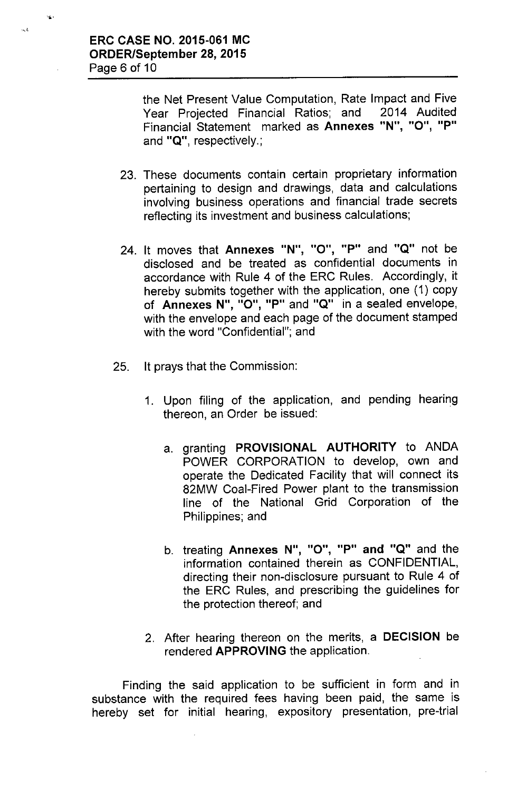$\mathbf{G}$  :

 $\sim$  3

the Net Present Value Computation, Rate Impact and Five Year Projected Financial Ratios; and 2014 Audited Financial Statement marked as Annexes "N", "O", "P" and "Q", respectively.;

- 23. These documents contain certain proprietary information pertaining to design and drawings, data and calculations involving business operations and financial trade secrets reflecting its investment and business calculations;
- 24. It moves that Annexes "N", "0", "P" and "Q" not be disclosed and be treated as confidential documents in accordance with Rule 4 of the ERC Rules. Accordingly, it hereby submits together with the application, one (1) copy of Annexes N", "O", "P" and "Q" in a sealed envelope, with the envelope and each page of the document stamped with the word "Confidential"; and
- 25. It prays that the Commission:
	- 1. Upon filing of the application, and pending hearing thereon, an Order be issued:
		- a. granting PROVISIONAL AUTHORITY to ANDA POWER CORPORATION to develop, own and operate the Dedicated Facility that will connect its 82MW Coal-Fired Power plant to the transmission line of the National Grid Corporation of the Philippines; and
		- b. treating Annexes N", "0", "P" and "Q" and the information contained therein as CONFIDENTIAL, directing their non-disclosure pursuant to Rule 4 of the ERC Rules, and prescribing the guidelines for the protection thereof; and
	- 2. After hearing thereon on the merits, a DECISION be rendered APPROVING the application.

Finding the said application to be sufficient in form and in substance with the required fees having been paid, the same is hereby set for initial hearing, expository presentation, pre-trial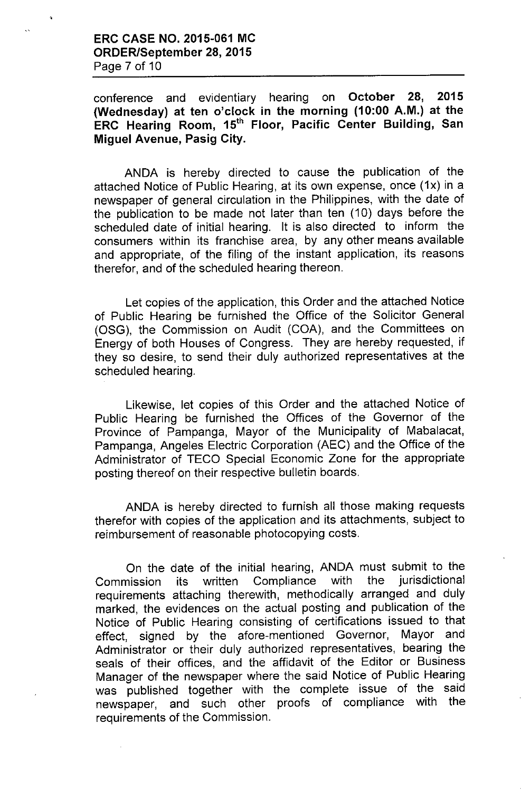conference and evidentiary hearing on **October 28, 2015 (Wednesday) at ten o'clock in the morning (10:00 A.M.) at the ERC Hearing Room,** 15th **Floor, Pacific Center Building, San Miguel Avenue, Pasig City.**

ANDA is hereby directed to cause the publication of the attached Notice of Public Hearing, at its own expense, once (1x) in a newspaper of general circulation in the Philippines, with the date of the publication to be made not later than ten (10) days before the scheduled date of initial hearing. It is also directed to inform the consumers within its franchise area, by any other means available and appropriate, of the filing of the instant application, its reasons therefor, and of the scheduled hearing thereon.

Let copies of the application, this Order and the attached Notice of Public Hearing be furnished the Office of the Solicitor General (OSG), the Commission on Audit (COA), and the Committees on Energy of both Houses of Congress. They are hereby requested, if they so desire, to send their duly authorized representatives at the scheduled hearing.

Likewise, let copies of this Order and the attached Notice of Public Hearing be furnished the Offices of the Governor of the Province of Pampanga, Mayor of the Municipality of Mabalacat, Pampanga, Angeles Electric Corporation (AEC) and the Office of the Administrator of TECO Special Economic Zone for the appropriate posting thereof on their respective bulletin boards.

ANDA is hereby directed to furnish all those making requests therefor with copies of the application and its attachments, subject to reimbursement of reasonable photocopying costs.

On the date of the initial hearing, ANDA must submit to the Commission its written Compliance with the jurisdictional requirements attaching therewith, methodically arranged and duly marked, the evidences on the actual posting and publication of the Notice of Public Hearing consisting of certifications issued to that effect, signed by the afore-mentioned Governor, Mayor and Administrator or their duly authorized representatives, bearing the seals of their offices, and the affidavit of the Editor or Business Manager of the newspaper where the said Notice of Public Hearing was published together with the complete issue of the said newspaper, and such other proofs of compliance with the requirements of the Commission.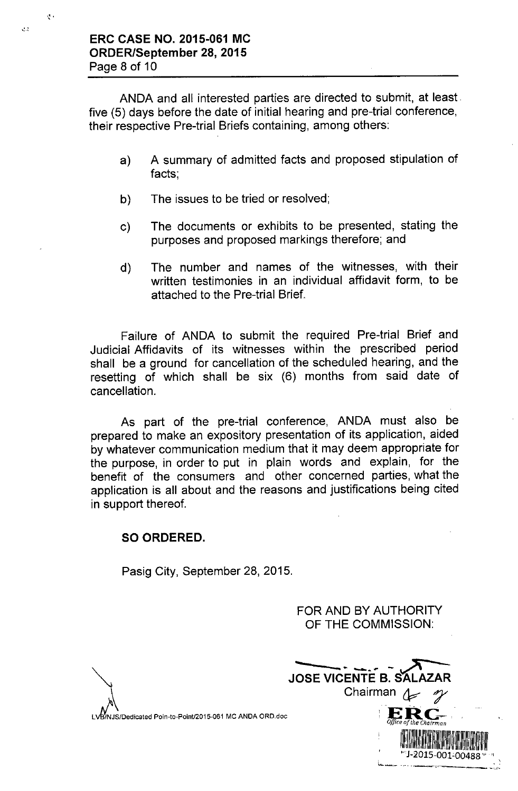ANDA and all interested parties are directed to submit, at least five (5) days before the date of initial hearing and pre-trial conference, their respective Pre-trial Briefs containing, among others:

- a) A summary of admitted facts and proposed stipulation of facts;
- b) The issues to be tried or resolved;
- c) The documents or exhibits to be presented, stating the purposes and proposed markings therefore; and
- d) The number and names of the witnesses, with their written testimonies in an individual affidavit form, to be attached to the Pre-trial Brief.

Failure of ANDA to submit the required Pre-trial Brief and Judicial Affidavits of its witnesses within the prescribed period shall be a ground for cancellation of the scheduled hearing, and the resetting of which shall be six (6) months from said date of cancellation.

As part of the pre-trial conference, ANDA must also be prepared to make an expository presentation of its application, aided by whatever communication medium that it may deem appropriate for the purpose, in order to put in plain words and explain, for the benefit of the consumers and other concerned parties, what the application is all about and the reasons and justifications being cited in support thereof.

## **SO ORDERED.**

Pasig City, September 28, 2015.

FOR AND BY AUTHORITY OF THE COMMISSION:

 $\bigvee_{\mathsf{A}\cup\mathsf{B}}$ LVB/NJS/Dedicated Poin-to-Point/2015-061 MC ANDA ORD.doc



'.-'

 $\mathcal{A}$  .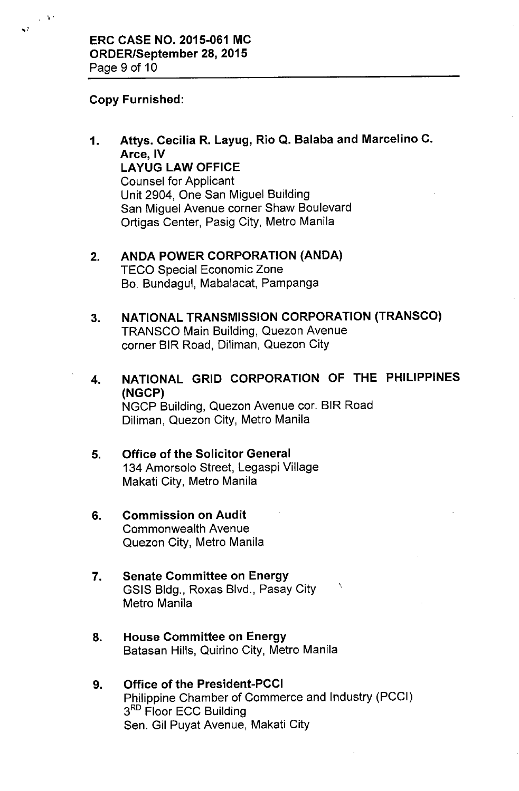#### Copy Furnished:

 $\sim$ 

χł

1. Attys. Cecilia R. Layug, Rio Q. Balaba and Marcelino C. Arce, IV LAYUG LAW OFFICE Counsel for Applicant Unit 2904, One San Miguel Building San Miguel Avenue corner Shaw Boulevard Ortigas Center, Pasig City, Metro Manila

#### 2. ANDA POWER CORPORATION (ANDA)

TECO Special Economic Zone Bo. Bundagul, Mabalacat, Pampanga

## 3. NATIONAL TRANSMISSION CORPORATION (TRANSCO) TRANSCO Main Building, Quezon Avenue

corner BIR Road, Diliman, Quezon City

4. NATIONAL GRID CORPORATION OF THE PHILIPPINES (NGCP) NGCP Building, Quezon Avenue cor. BIR Road Diliman, Quezon City, Metro Manila

 $\overline{\phantom{0}}$ 

#### 5. Office of the Solicitor General 134 Amorsolo Street, Legaspi Village

Makati City, Metro Manila

### 6. Commission on Audit Commonwealth Avenue Quezon City, Metro Manila

## 7. Senate Committee on Energy GSIS Bldg., Roxas Blvd., Pasay City Metro Manila

8. House Committee on Energy Batasan Hills, Quirino City, Metro Manila

## 9. Office of the President-PCCI Philippine Chamber of Commerce and Industry (PCCI) 3<sup>RD</sup> Floor ECC Building Sen. Gil Puyat Avenue, Makati City